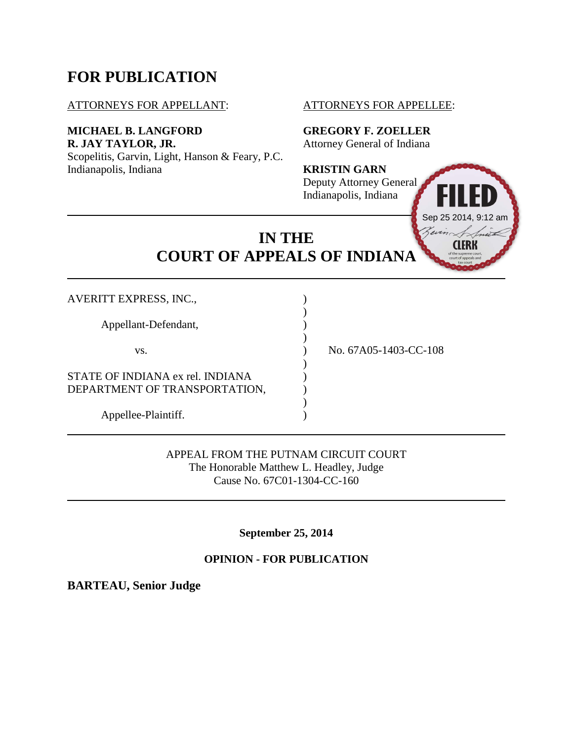# **FOR PUBLICATION**

## ATTORNEYS FOR APPELLANT: ATTORNEYS FOR APPELLEE:

## **MICHAEL B. LANGFORD GREGORY F. ZOELLER R. JAY TAYLOR, JR.** Attorney General of Indiana

Scopelitis, Garvin, Light, Hanson & Feary, P.C. Indianapolis, Indiana **KRISTIN GARN**

# Deputy Attorney General Indianapolis, Indiana



**IN THE COURT OF APPEALS OF INDIANA**

| <b>AVERITT EXPRESS, INC.,</b>                                     |                       |
|-------------------------------------------------------------------|-----------------------|
| Appellant-Defendant,                                              |                       |
| VS.                                                               | No. 67A05-1403-CC-108 |
| STATE OF INDIANA ex rel. INDIANA<br>DEPARTMENT OF TRANSPORTATION, |                       |
| Appellee-Plaintiff.                                               |                       |

APPEAL FROM THE PUTNAM CIRCUIT COURT The Honorable Matthew L. Headley, Judge Cause No. 67C01-1304-CC-160

**September 25, 2014**

## **OPINION - FOR PUBLICATION**

**BARTEAU, Senior Judge**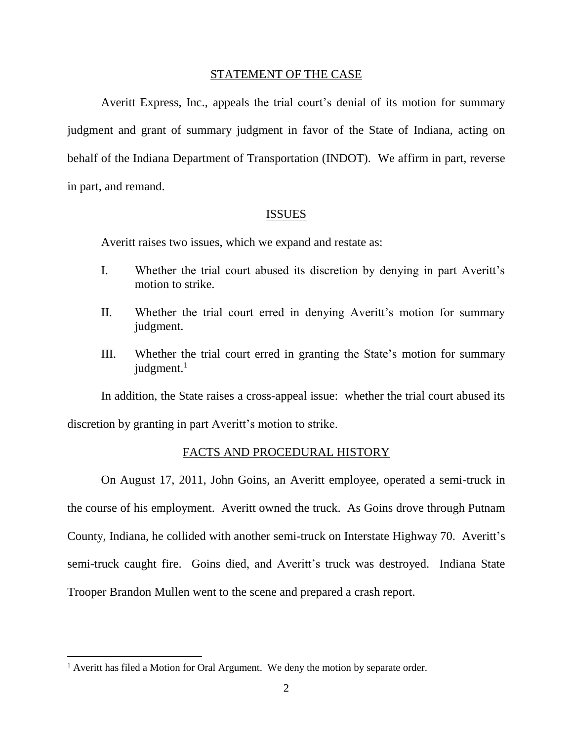#### STATEMENT OF THE CASE

Averitt Express, Inc., appeals the trial court's denial of its motion for summary judgment and grant of summary judgment in favor of the State of Indiana, acting on behalf of the Indiana Department of Transportation (INDOT). We affirm in part, reverse in part, and remand.

#### ISSUES

Averitt raises two issues, which we expand and restate as:

- I. Whether the trial court abused its discretion by denying in part Averitt's motion to strike.
- II. Whether the trial court erred in denying Averitt's motion for summary judgment.
- III. Whether the trial court erred in granting the State's motion for summary judgment. $1$

In addition, the State raises a cross-appeal issue: whether the trial court abused its discretion by granting in part Averitt's motion to strike.

#### FACTS AND PROCEDURAL HISTORY

On August 17, 2011, John Goins, an Averitt employee, operated a semi-truck in the course of his employment. Averitt owned the truck. As Goins drove through Putnam County, Indiana, he collided with another semi-truck on Interstate Highway 70. Averitt's semi-truck caught fire. Goins died, and Averitt's truck was destroyed. Indiana State Trooper Brandon Mullen went to the scene and prepared a crash report.

<sup>&</sup>lt;sup>1</sup> Averitt has filed a Motion for Oral Argument. We deny the motion by separate order.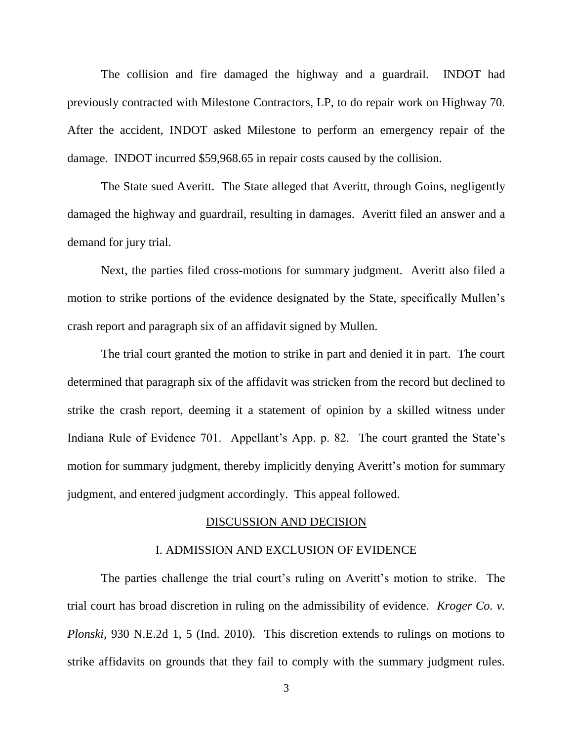The collision and fire damaged the highway and a guardrail. INDOT had previously contracted with Milestone Contractors, LP, to do repair work on Highway 70. After the accident, INDOT asked Milestone to perform an emergency repair of the damage. INDOT incurred \$59,968.65 in repair costs caused by the collision.

The State sued Averitt. The State alleged that Averitt, through Goins, negligently damaged the highway and guardrail, resulting in damages. Averitt filed an answer and a demand for jury trial.

Next, the parties filed cross-motions for summary judgment. Averitt also filed a motion to strike portions of the evidence designated by the State, specifically Mullen's crash report and paragraph six of an affidavit signed by Mullen.

The trial court granted the motion to strike in part and denied it in part. The court determined that paragraph six of the affidavit was stricken from the record but declined to strike the crash report, deeming it a statement of opinion by a skilled witness under Indiana Rule of Evidence 701. Appellant's App. p. 82. The court granted the State's motion for summary judgment, thereby implicitly denying Averitt's motion for summary judgment, and entered judgment accordingly. This appeal followed.

#### DISCUSSION AND DECISION

#### I. ADMISSION AND EXCLUSION OF EVIDENCE

The parties challenge the trial court's ruling on Averitt's motion to strike. The trial court has broad discretion in ruling on the admissibility of evidence. *Kroger Co. v. Plonski*, 930 N.E.2d 1, 5 (Ind. 2010). This discretion extends to rulings on motions to strike affidavits on grounds that they fail to comply with the summary judgment rules.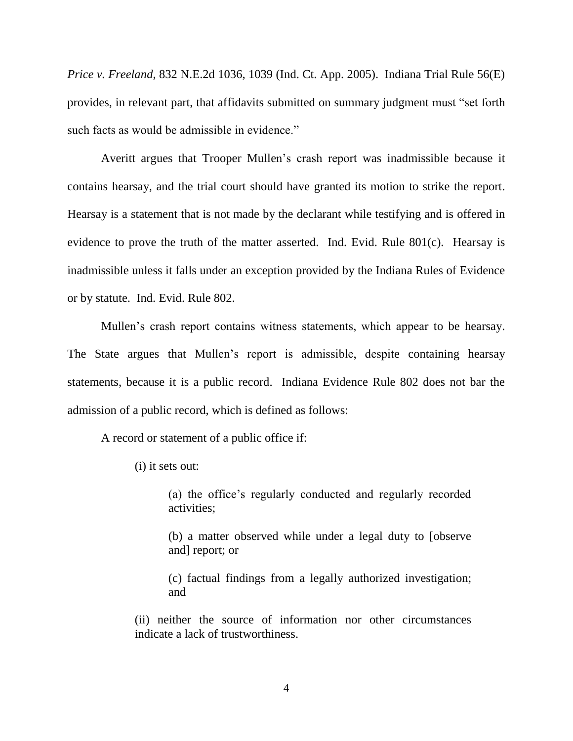*Price v. Freeland*, 832 N.E.2d 1036, 1039 (Ind. Ct. App. 2005). Indiana Trial Rule 56(E) provides, in relevant part, that affidavits submitted on summary judgment must "set forth such facts as would be admissible in evidence."

Averitt argues that Trooper Mullen's crash report was inadmissible because it contains hearsay, and the trial court should have granted its motion to strike the report. Hearsay is a statement that is not made by the declarant while testifying and is offered in evidence to prove the truth of the matter asserted. Ind. Evid. Rule 801(c). Hearsay is inadmissible unless it falls under an exception provided by the Indiana Rules of Evidence or by statute. Ind. Evid. Rule 802.

Mullen's crash report contains witness statements, which appear to be hearsay. The State argues that Mullen's report is admissible, despite containing hearsay statements, because it is a public record. Indiana Evidence Rule 802 does not bar the admission of a public record, which is defined as follows:

A record or statement of a public office if:

(i) it sets out:

(a) the office's regularly conducted and regularly recorded activities;

(b) a matter observed while under a legal duty to [observe and] report; or

(c) factual findings from a legally authorized investigation; and

(ii) neither the source of information nor other circumstances indicate a lack of trustworthiness.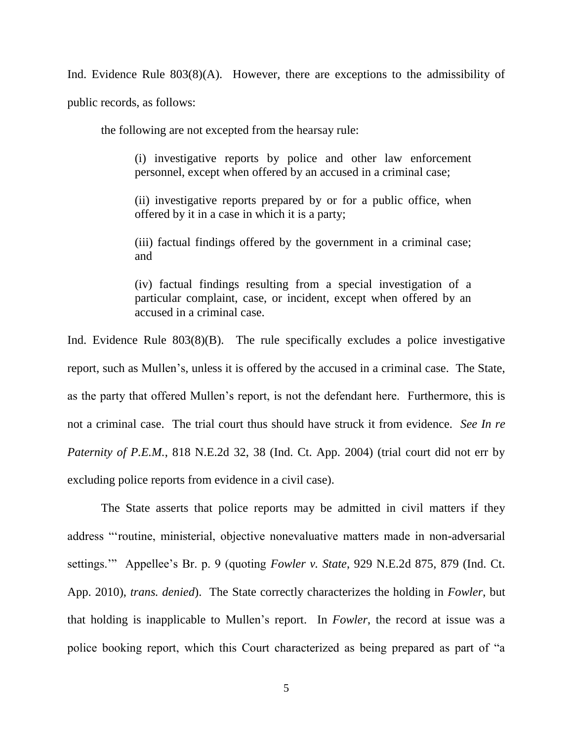Ind. Evidence Rule 803(8)(A). However, there are exceptions to the admissibility of public records, as follows:

the following are not excepted from the hearsay rule:

(i) investigative reports by police and other law enforcement personnel, except when offered by an accused in a criminal case;

(ii) investigative reports prepared by or for a public office, when offered by it in a case in which it is a party;

(iii) factual findings offered by the government in a criminal case; and

(iv) factual findings resulting from a special investigation of a particular complaint, case, or incident, except when offered by an accused in a criminal case.

Ind. Evidence Rule 803(8)(B). The rule specifically excludes a police investigative report, such as Mullen's, unless it is offered by the accused in a criminal case. The State, as the party that offered Mullen's report, is not the defendant here. Furthermore, this is not a criminal case. The trial court thus should have struck it from evidence. *See In re Paternity of P.E.M.*, 818 N.E.2d 32, 38 (Ind. Ct. App. 2004) (trial court did not err by excluding police reports from evidence in a civil case).

The State asserts that police reports may be admitted in civil matters if they address "'routine, ministerial, objective nonevaluative matters made in non-adversarial settings.'" Appellee's Br. p. 9 (quoting *Fowler v. State*, 929 N.E.2d 875, 879 (Ind. Ct. App. 2010), *trans. denied*). The State correctly characterizes the holding in *Fowler*, but that holding is inapplicable to Mullen's report. In *Fowler*, the record at issue was a police booking report, which this Court characterized as being prepared as part of "a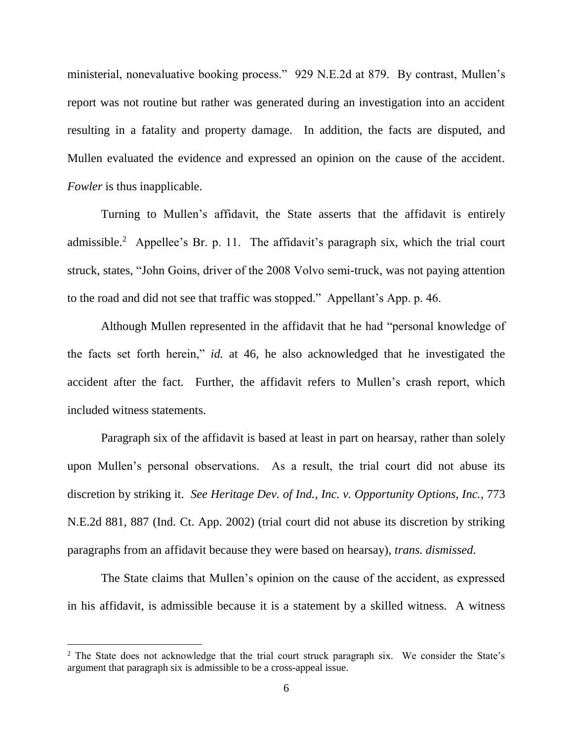ministerial, nonevaluative booking process." 929 N.E.2d at 879. By contrast, Mullen's report was not routine but rather was generated during an investigation into an accident resulting in a fatality and property damage. In addition, the facts are disputed, and Mullen evaluated the evidence and expressed an opinion on the cause of the accident. *Fowler* is thus inapplicable.

Turning to Mullen's affidavit, the State asserts that the affidavit is entirely admissible.<sup>2</sup> Appellee's Br. p. 11. The affidavit's paragraph six, which the trial court struck, states, "John Goins, driver of the 2008 Volvo semi-truck, was not paying attention to the road and did not see that traffic was stopped." Appellant's App. p. 46.

Although Mullen represented in the affidavit that he had "personal knowledge of the facts set forth herein," *id.* at 46, he also acknowledged that he investigated the accident after the fact. Further, the affidavit refers to Mullen's crash report, which included witness statements.

Paragraph six of the affidavit is based at least in part on hearsay, rather than solely upon Mullen's personal observations. As a result, the trial court did not abuse its discretion by striking it. *See Heritage Dev. of Ind., Inc. v. Opportunity Options, Inc.*, 773 N.E.2d 881, 887 (Ind. Ct. App. 2002) (trial court did not abuse its discretion by striking paragraphs from an affidavit because they were based on hearsay), *trans. dismissed*.

The State claims that Mullen's opinion on the cause of the accident, as expressed in his affidavit, is admissible because it is a statement by a skilled witness. A witness

<sup>&</sup>lt;sup>2</sup> The State does not acknowledge that the trial court struck paragraph six. We consider the State's argument that paragraph six is admissible to be a cross-appeal issue.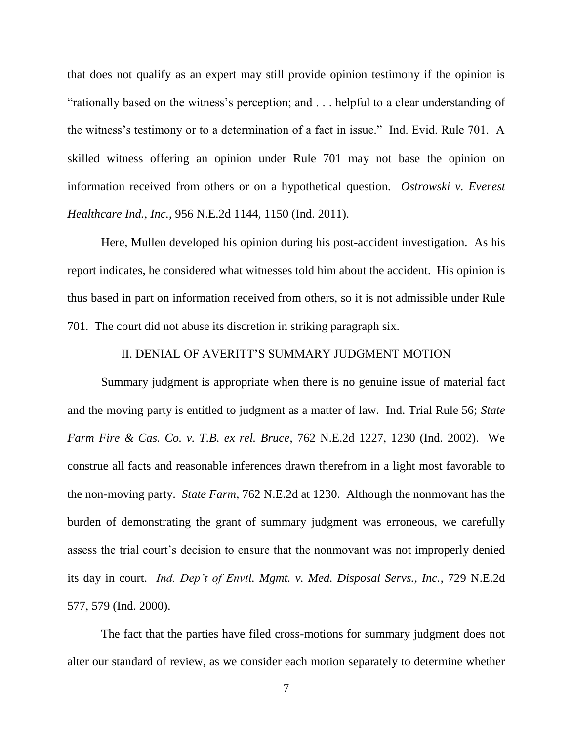that does not qualify as an expert may still provide opinion testimony if the opinion is "rationally based on the witness's perception; and . . . helpful to a clear understanding of the witness's testimony or to a determination of a fact in issue." Ind. Evid. Rule 701. A skilled witness offering an opinion under Rule 701 may not base the opinion on information received from others or on a hypothetical question. *Ostrowski v. Everest Healthcare Ind., Inc.*, 956 N.E.2d 1144, 1150 (Ind. 2011).

Here, Mullen developed his opinion during his post-accident investigation. As his report indicates, he considered what witnesses told him about the accident. His opinion is thus based in part on information received from others, so it is not admissible under Rule 701. The court did not abuse its discretion in striking paragraph six.

#### II. DENIAL OF AVERITT'S SUMMARY JUDGMENT MOTION

Summary judgment is appropriate when there is no genuine issue of material fact and the moving party is entitled to judgment as a matter of law. Ind. Trial Rule 56; *State Farm Fire & Cas. Co. v. T.B. ex rel. Bruce*, 762 N.E.2d 1227, 1230 (Ind. 2002). We construe all facts and reasonable inferences drawn therefrom in a light most favorable to the non-moving party. *State Farm*, 762 N.E.2d at 1230. Although the nonmovant has the burden of demonstrating the grant of summary judgment was erroneous, we carefully assess the trial court's decision to ensure that the nonmovant was not improperly denied its day in court. *Ind. Dep't of Envtl. Mgmt. v. Med. Disposal Servs., Inc.*, 729 N.E.2d 577, 579 (Ind. 2000).

The fact that the parties have filed cross-motions for summary judgment does not alter our standard of review, as we consider each motion separately to determine whether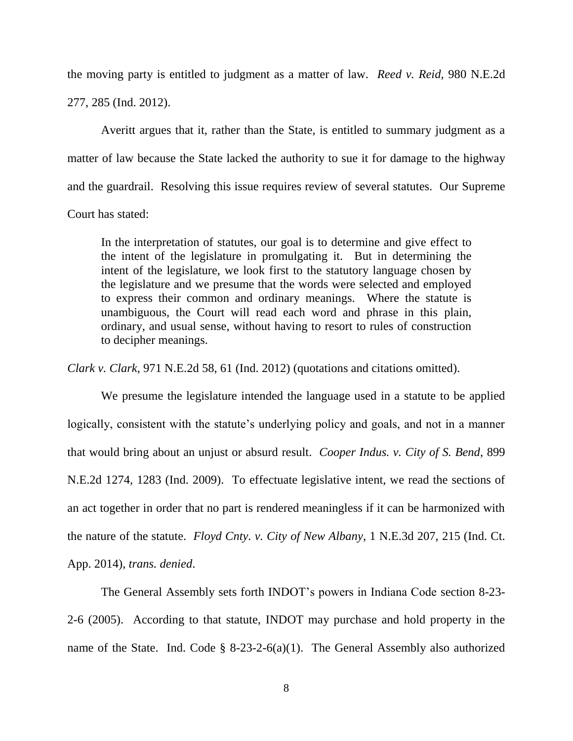the moving party is entitled to judgment as a matter of law. *Reed v. Reid*, 980 N.E.2d 277, 285 (Ind. 2012).

Averitt argues that it, rather than the State, is entitled to summary judgment as a matter of law because the State lacked the authority to sue it for damage to the highway and the guardrail. Resolving this issue requires review of several statutes. Our Supreme Court has stated:

In the interpretation of statutes, our goal is to determine and give effect to the intent of the legislature in promulgating it. But in determining the intent of the legislature, we look first to the statutory language chosen by the legislature and we presume that the words were selected and employed to express their common and ordinary meanings. Where the statute is unambiguous, the Court will read each word and phrase in this plain, ordinary, and usual sense, without having to resort to rules of construction to decipher meanings.

*Clark v. Clark*, 971 N.E.2d 58, 61 (Ind. 2012) (quotations and citations omitted).

We presume the legislature intended the language used in a statute to be applied logically, consistent with the statute's underlying policy and goals, and not in a manner that would bring about an unjust or absurd result. *Cooper Indus. v. City of S. Bend*, 899 N.E.2d 1274, 1283 (Ind. 2009). To effectuate legislative intent, we read the sections of an act together in order that no part is rendered meaningless if it can be harmonized with the nature of the statute. *Floyd Cnty. v. City of New Albany*, 1 N.E.3d 207, 215 (Ind. Ct. App. 2014), *trans. denied*.

The General Assembly sets forth INDOT's powers in Indiana Code section 8-23- 2-6 (2005). According to that statute, INDOT may purchase and hold property in the name of the State. Ind. Code  $\S$  8-23-2-6(a)(1). The General Assembly also authorized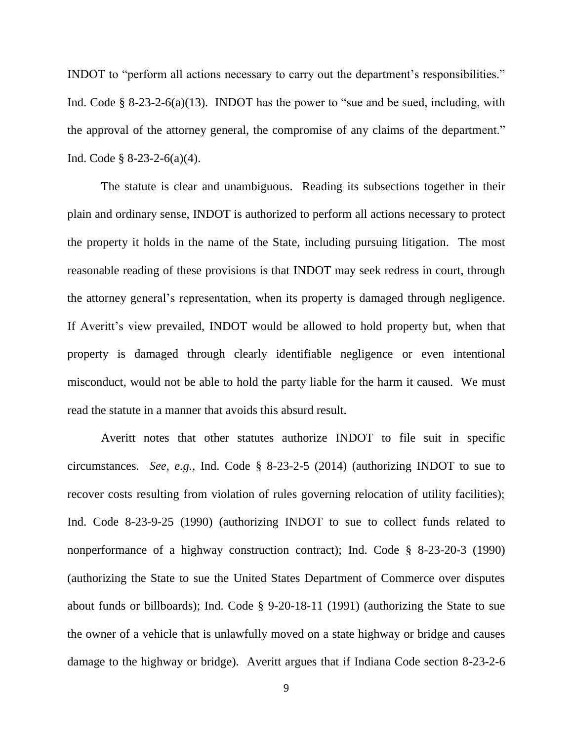INDOT to "perform all actions necessary to carry out the department's responsibilities." Ind. Code § 8-23-2-6(a)(13). INDOT has the power to "sue and be sued, including, with the approval of the attorney general, the compromise of any claims of the department." Ind. Code  $\S$  8-23-2-6(a)(4).

The statute is clear and unambiguous. Reading its subsections together in their plain and ordinary sense, INDOT is authorized to perform all actions necessary to protect the property it holds in the name of the State, including pursuing litigation. The most reasonable reading of these provisions is that INDOT may seek redress in court, through the attorney general's representation, when its property is damaged through negligence. If Averitt's view prevailed, INDOT would be allowed to hold property but, when that property is damaged through clearly identifiable negligence or even intentional misconduct, would not be able to hold the party liable for the harm it caused. We must read the statute in a manner that avoids this absurd result.

Averitt notes that other statutes authorize INDOT to file suit in specific circumstances. *See, e.g.*, Ind. Code § 8-23-2-5 (2014) (authorizing INDOT to sue to recover costs resulting from violation of rules governing relocation of utility facilities); Ind. Code 8-23-9-25 (1990) (authorizing INDOT to sue to collect funds related to nonperformance of a highway construction contract); Ind. Code § 8-23-20-3 (1990) (authorizing the State to sue the United States Department of Commerce over disputes about funds or billboards); Ind. Code § 9-20-18-11 (1991) (authorizing the State to sue the owner of a vehicle that is unlawfully moved on a state highway or bridge and causes damage to the highway or bridge). Averitt argues that if Indiana Code section 8-23-2-6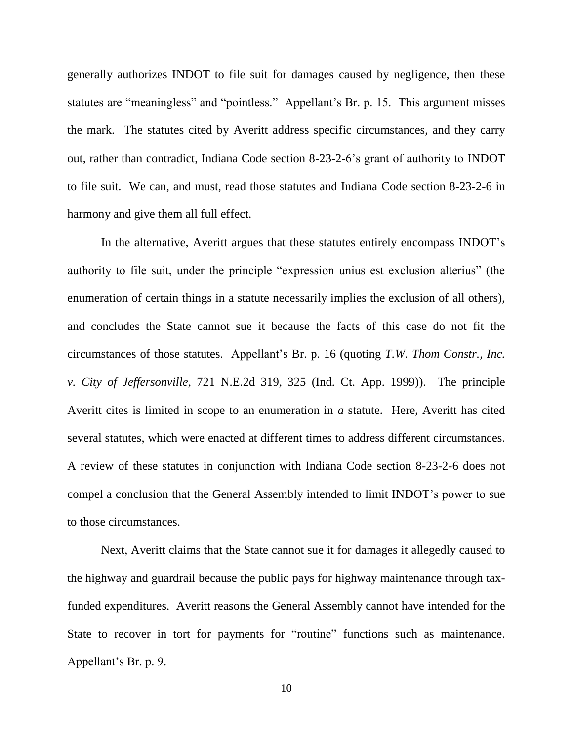generally authorizes INDOT to file suit for damages caused by negligence, then these statutes are "meaningless" and "pointless." Appellant's Br. p. 15. This argument misses the mark. The statutes cited by Averitt address specific circumstances, and they carry out, rather than contradict, Indiana Code section 8-23-2-6's grant of authority to INDOT to file suit. We can, and must, read those statutes and Indiana Code section 8-23-2-6 in harmony and give them all full effect.

In the alternative, Averitt argues that these statutes entirely encompass INDOT's authority to file suit, under the principle "expression unius est exclusion alterius" (the enumeration of certain things in a statute necessarily implies the exclusion of all others), and concludes the State cannot sue it because the facts of this case do not fit the circumstances of those statutes. Appellant's Br. p. 16 (quoting *T.W. Thom Constr., Inc. v. City of Jeffersonville*, 721 N.E.2d 319, 325 (Ind. Ct. App. 1999)). The principle Averitt cites is limited in scope to an enumeration in *a* statute. Here, Averitt has cited several statutes, which were enacted at different times to address different circumstances. A review of these statutes in conjunction with Indiana Code section 8-23-2-6 does not compel a conclusion that the General Assembly intended to limit INDOT's power to sue to those circumstances.

Next, Averitt claims that the State cannot sue it for damages it allegedly caused to the highway and guardrail because the public pays for highway maintenance through taxfunded expenditures. Averitt reasons the General Assembly cannot have intended for the State to recover in tort for payments for "routine" functions such as maintenance. Appellant's Br. p. 9.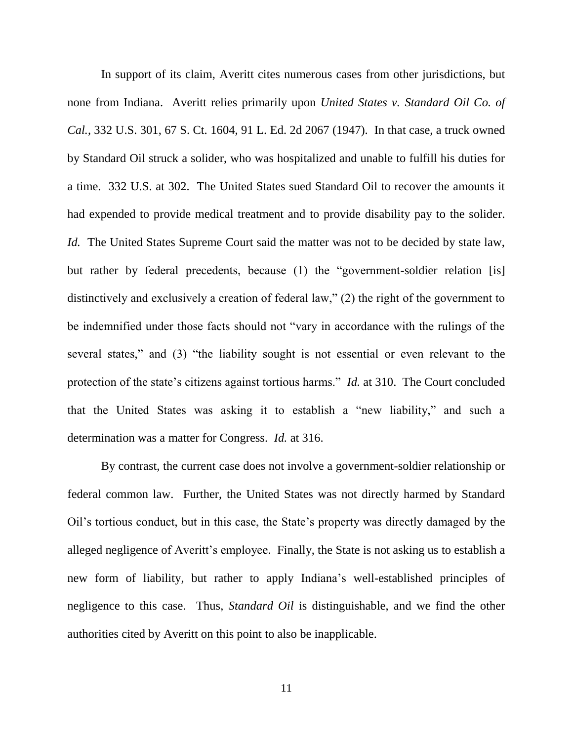In support of its claim, Averitt cites numerous cases from other jurisdictions, but none from Indiana. Averitt relies primarily upon *United States v. Standard Oil Co. of Cal.*, 332 U.S. 301, 67 S. Ct. 1604, 91 L. Ed. 2d 2067 (1947). In that case, a truck owned by Standard Oil struck a solider, who was hospitalized and unable to fulfill his duties for a time. 332 U.S. at 302. The United States sued Standard Oil to recover the amounts it had expended to provide medical treatment and to provide disability pay to the solider. *Id.* The United States Supreme Court said the matter was not to be decided by state law, but rather by federal precedents, because (1) the "government-soldier relation [is] distinctively and exclusively a creation of federal law," (2) the right of the government to be indemnified under those facts should not "vary in accordance with the rulings of the several states," and (3) "the liability sought is not essential or even relevant to the protection of the state's citizens against tortious harms." *Id.* at 310. The Court concluded that the United States was asking it to establish a "new liability," and such a determination was a matter for Congress. *Id.* at 316.

By contrast, the current case does not involve a government-soldier relationship or federal common law. Further, the United States was not directly harmed by Standard Oil's tortious conduct, but in this case, the State's property was directly damaged by the alleged negligence of Averitt's employee. Finally, the State is not asking us to establish a new form of liability, but rather to apply Indiana's well-established principles of negligence to this case. Thus, *Standard Oil* is distinguishable, and we find the other authorities cited by Averitt on this point to also be inapplicable.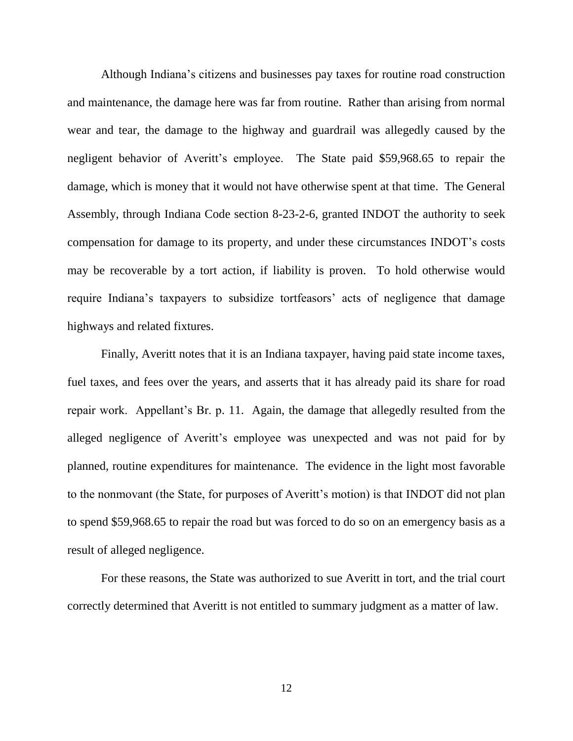Although Indiana's citizens and businesses pay taxes for routine road construction and maintenance, the damage here was far from routine. Rather than arising from normal wear and tear, the damage to the highway and guardrail was allegedly caused by the negligent behavior of Averitt's employee. The State paid \$59,968.65 to repair the damage, which is money that it would not have otherwise spent at that time. The General Assembly, through Indiana Code section 8-23-2-6, granted INDOT the authority to seek compensation for damage to its property, and under these circumstances INDOT's costs may be recoverable by a tort action, if liability is proven. To hold otherwise would require Indiana's taxpayers to subsidize tortfeasors' acts of negligence that damage highways and related fixtures.

Finally, Averitt notes that it is an Indiana taxpayer, having paid state income taxes, fuel taxes, and fees over the years, and asserts that it has already paid its share for road repair work. Appellant's Br. p. 11. Again, the damage that allegedly resulted from the alleged negligence of Averitt's employee was unexpected and was not paid for by planned, routine expenditures for maintenance. The evidence in the light most favorable to the nonmovant (the State, for purposes of Averitt's motion) is that INDOT did not plan to spend \$59,968.65 to repair the road but was forced to do so on an emergency basis as a result of alleged negligence.

For these reasons, the State was authorized to sue Averitt in tort, and the trial court correctly determined that Averitt is not entitled to summary judgment as a matter of law.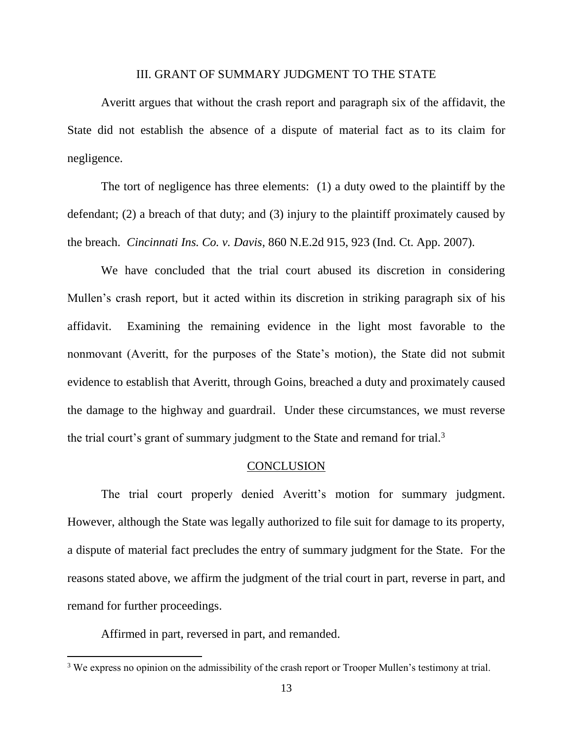#### III. GRANT OF SUMMARY JUDGMENT TO THE STATE

Averitt argues that without the crash report and paragraph six of the affidavit, the State did not establish the absence of a dispute of material fact as to its claim for negligence.

The tort of negligence has three elements: (1) a duty owed to the plaintiff by the defendant; (2) a breach of that duty; and (3) injury to the plaintiff proximately caused by the breach. *Cincinnati Ins. Co. v. Davis*, 860 N.E.2d 915, 923 (Ind. Ct. App. 2007).

We have concluded that the trial court abused its discretion in considering Mullen's crash report, but it acted within its discretion in striking paragraph six of his affidavit. Examining the remaining evidence in the light most favorable to the nonmovant (Averitt, for the purposes of the State's motion), the State did not submit evidence to establish that Averitt, through Goins, breached a duty and proximately caused the damage to the highway and guardrail. Under these circumstances, we must reverse the trial court's grant of summary judgment to the State and remand for trial.<sup>3</sup>

#### **CONCLUSION**

The trial court properly denied Averitt's motion for summary judgment. However, although the State was legally authorized to file suit for damage to its property, a dispute of material fact precludes the entry of summary judgment for the State. For the reasons stated above, we affirm the judgment of the trial court in part, reverse in part, and remand for further proceedings.

Affirmed in part, reversed in part, and remanded.

<sup>&</sup>lt;sup>3</sup> We express no opinion on the admissibility of the crash report or Trooper Mullen's testimony at trial.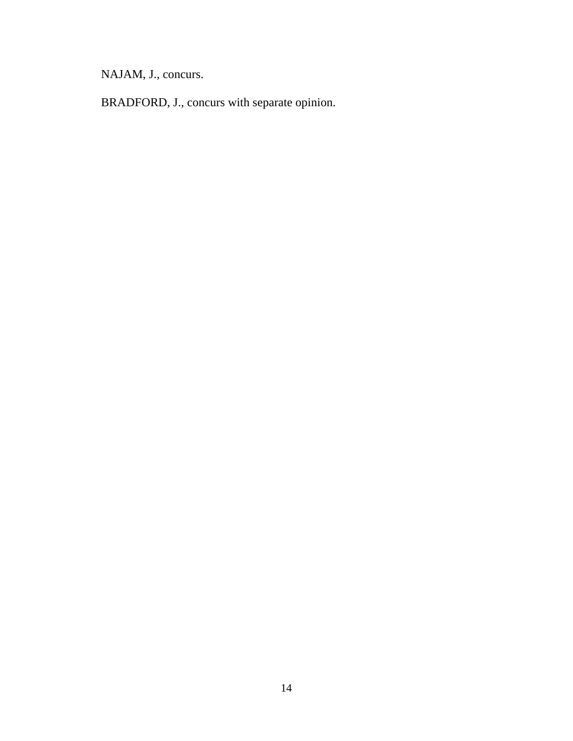NAJAM, J., concurs.

BRADFORD, J., concurs with separate opinion.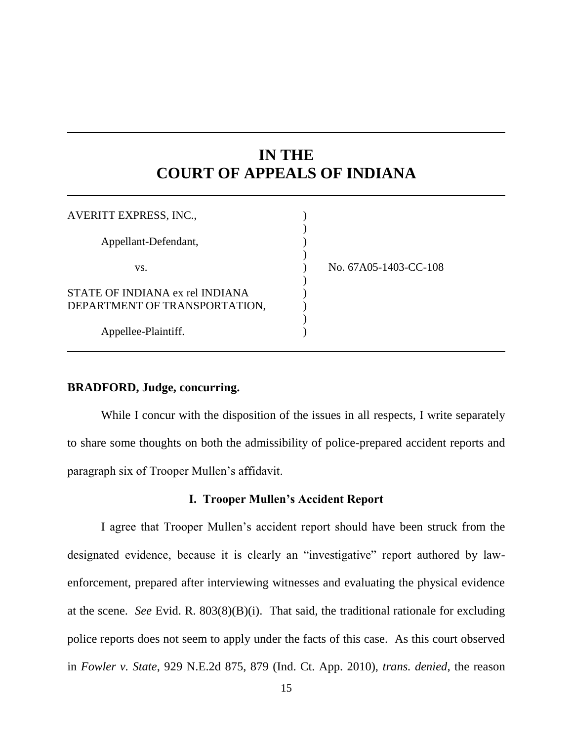# **IN THE COURT OF APPEALS OF INDIANA**

| AVERITT EXPRESS, INC.,                                           |                       |
|------------------------------------------------------------------|-----------------------|
| Appellant-Defendant,                                             |                       |
| VS.                                                              | No. 67A05-1403-CC-108 |
| STATE OF INDIANA ex rel INDIANA<br>DEPARTMENT OF TRANSPORTATION, |                       |
| Appellee-Plaintiff.                                              |                       |

## **BRADFORD, Judge, concurring.**

While I concur with the disposition of the issues in all respects, I write separately to share some thoughts on both the admissibility of police-prepared accident reports and paragraph six of Trooper Mullen's affidavit.

#### **I. Trooper Mullen's Accident Report**

I agree that Trooper Mullen's accident report should have been struck from the designated evidence, because it is clearly an "investigative" report authored by lawenforcement, prepared after interviewing witnesses and evaluating the physical evidence at the scene. *See* Evid. R. 803(8)(B)(i). That said, the traditional rationale for excluding police reports does not seem to apply under the facts of this case. As this court observed in *Fowler v. State*, 929 N.E.2d 875, 879 (Ind. Ct. App. 2010), *trans. denied*, the reason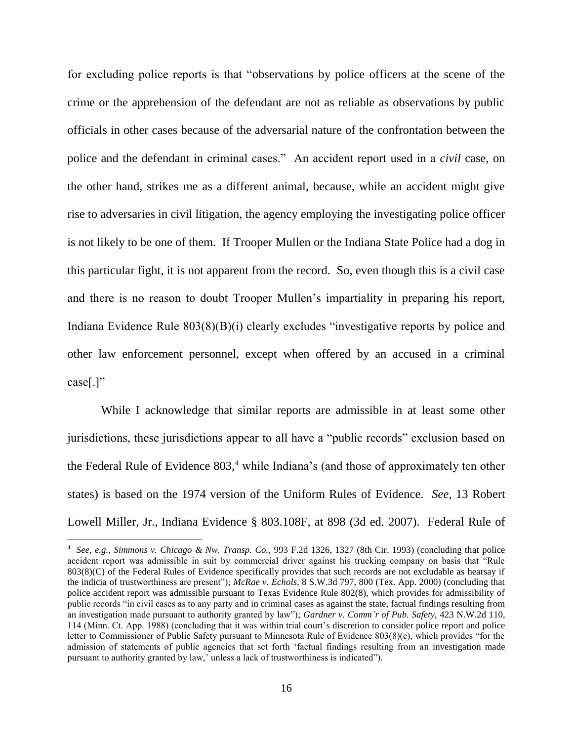for excluding police reports is that "observations by police officers at the scene of the crime or the apprehension of the defendant are not as reliable as observations by public officials in other cases because of the adversarial nature of the confrontation between the police and the defendant in criminal cases." An accident report used in a *civil* case, on the other hand, strikes me as a different animal, because, while an accident might give rise to adversaries in civil litigation, the agency employing the investigating police officer is not likely to be one of them. If Trooper Mullen or the Indiana State Police had a dog in this particular fight, it is not apparent from the record. So, even though this is a civil case and there is no reason to doubt Trooper Mullen's impartiality in preparing his report, Indiana Evidence Rule 803(8)(B)(i) clearly excludes "investigative reports by police and other law enforcement personnel, except when offered by an accused in a criminal case[.]"

While I acknowledge that similar reports are admissible in at least some other jurisdictions, these jurisdictions appear to all have a "public records" exclusion based on the Federal Rule of Evidence  $803<sup>4</sup>$ , while Indiana's (and those of approximately ten other states) is based on the 1974 version of the Uniform Rules of Evidence. *See*, 13 Robert Lowell Miller, Jr., Indiana Evidence § 803.108F, at 898 (3d ed. 2007). Federal Rule of

<sup>4</sup> *See, e.g.*, *Simmons v. Chicago & Nw. Transp. Co.*, 993 F.2d 1326, 1327 (8th Cir. 1993) (concluding that police accident report was admissible in suit by commercial driver against his trucking company on basis that "Rule 803(8)(C) of the Federal Rules of Evidence specifically provides that such records are not excludable as hearsay if the indicia of trustworthiness are present"); *McRae v. Echols*, 8 S.W.3d 797, 800 (Tex. App. 2000) (concluding that police accident report was admissible pursuant to Texas Evidence Rule 802(8), which provides for admissibility of public records "in civil cases as to any party and in criminal cases as against the state, factual findings resulting from an investigation made pursuant to authority granted by law"); *Gardner v. Comm'r of Pub. Safety*, 423 N.W.2d 110, 114 (Minn. Ct. App. 1988) (concluding that it was within trial court's discretion to consider police report and police letter to Commissioner of Public Safety pursuant to Minnesota Rule of Evidence 803(8)(c), which provides "for the admission of statements of public agencies that set forth 'factual findings resulting from an investigation made pursuant to authority granted by law,' unless a lack of trustworthiness is indicated").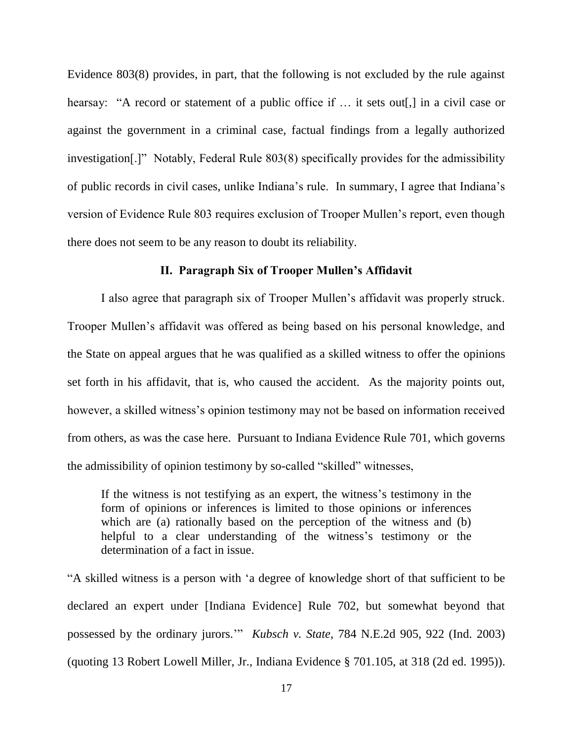Evidence 803(8) provides, in part, that the following is not excluded by the rule against hearsay: "A record or statement of a public office if ... it sets out[,] in a civil case or against the government in a criminal case, factual findings from a legally authorized investigation[.]" Notably, Federal Rule 803(8) specifically provides for the admissibility of public records in civil cases, unlike Indiana's rule. In summary, I agree that Indiana's version of Evidence Rule 803 requires exclusion of Trooper Mullen's report, even though there does not seem to be any reason to doubt its reliability.

#### **II. Paragraph Six of Trooper Mullen's Affidavit**

I also agree that paragraph six of Trooper Mullen's affidavit was properly struck. Trooper Mullen's affidavit was offered as being based on his personal knowledge, and the State on appeal argues that he was qualified as a skilled witness to offer the opinions set forth in his affidavit, that is, who caused the accident. As the majority points out, however, a skilled witness's opinion testimony may not be based on information received from others, as was the case here. Pursuant to Indiana Evidence Rule 701, which governs the admissibility of opinion testimony by so-called "skilled" witnesses,

If the witness is not testifying as an expert, the witness's testimony in the form of opinions or inferences is limited to those opinions or inferences which are (a) rationally based on the perception of the witness and (b) helpful to a clear understanding of the witness's testimony or the determination of a fact in issue.

"A skilled witness is a person with 'a degree of knowledge short of that sufficient to be declared an expert under [Indiana Evidence] Rule 702, but somewhat beyond that possessed by the ordinary jurors.'" *Kubsch v. State*, 784 N.E.2d 905, 922 (Ind. 2003) (quoting 13 Robert Lowell Miller, Jr., Indiana Evidence § 701.105, at 318 (2d ed. 1995)).

17